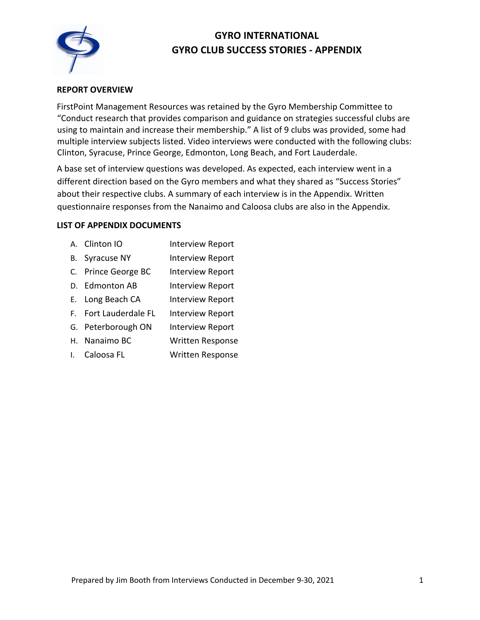

# **GYRO INTERNATIONAL GYRO CLUB SUCCESS STORIES - APPENDIX**

## **REPORT OVERVIEW**

FirstPoint Management Resources was retained by the Gyro Membership Committee to "Conduct research that provides comparison and guidance on strategies successful clubs are using to maintain and increase their membership." A list of 9 clubs was provided, some had multiple interview subjects listed. Video interviews were conducted with the following clubs: Clinton, Syracuse, Prince George, Edmonton, Long Beach, and Fort Lauderdale.

A base set of interview questions was developed. As expected, each interview went in a different direction based on the Gyro members and what they shared as "Success Stories" about their respective clubs. A summary of each interview is in the Appendix. Written questionnaire responses from the Nanaimo and Caloosa clubs are also in the Appendix.

### **LIST OF APPENDIX DOCUMENTS**

- A. Clinton IO Interview Report
- B. Syracuse NY Interview Report
- C. Prince George BC Interview Report
- D. Edmonton AB Interview Report
- E. Long Beach CA Interview Report
- F. Fort Lauderdale FL Interview Report
- G. Peterborough ON Interview Report
- H. Nanaimo BC Written Response
- I. Caloosa FL Written Response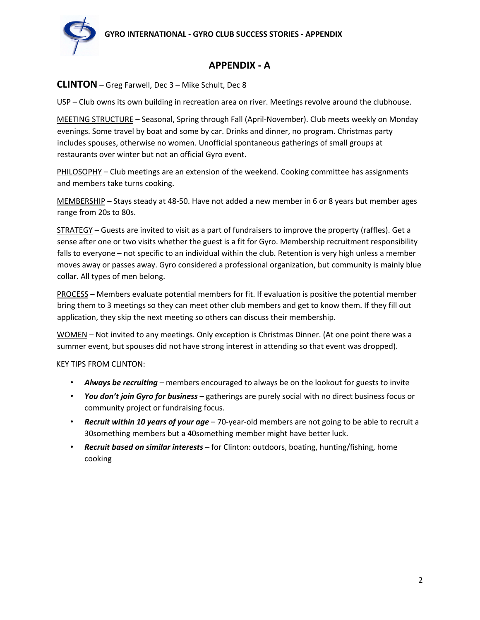

## **APPENDIX - A**

## **CLINTON** – Greg Farwell, Dec 3 – Mike Schult, Dec 8

USP – Club owns its own building in recreation area on river. Meetings revolve around the clubhouse.

MEETING STRUCTURE – Seasonal, Spring through Fall (April-November). Club meets weekly on Monday evenings. Some travel by boat and some by car. Drinks and dinner, no program. Christmas party includes spouses, otherwise no women. Unofficial spontaneous gatherings of small groups at restaurants over winter but not an official Gyro event.

PHILOSOPHY - Club meetings are an extension of the weekend. Cooking committee has assignments and members take turns cooking.

MEMBERSHIP – Stays steady at 48-50. Have not added a new member in 6 or 8 years but member ages range from 20s to 80s.

STRATEGY – Guests are invited to visit as a part of fundraisers to improve the property (raffles). Get a sense after one or two visits whether the guest is a fit for Gyro. Membership recruitment responsibility falls to everyone – not specific to an individual within the club. Retention is very high unless a member moves away or passes away. Gyro considered a professional organization, but community is mainly blue collar. All types of men belong.

PROCESS – Members evaluate potential members for fit. If evaluation is positive the potential member bring them to 3 meetings so they can meet other club members and get to know them. If they fill out application, they skip the next meeting so others can discuss their membership.

WOMEN – Not invited to any meetings. Only exception is Christmas Dinner. (At one point there was a summer event, but spouses did not have strong interest in attending so that event was dropped).

### KEY TIPS FROM CLINTON:

- *Always be recruiting* members encouraged to always be on the lookout for guests to invite
- *You don't join Gyro for business* gatherings are purely social with no direct business focus or community project or fundraising focus.
- *Recruit within 10 years of your age*  70-year-old members are not going to be able to recruit a 30something members but a 40something member might have better luck.
- *Recruit based on similar interests*  for Clinton: outdoors, boating, hunting/fishing, home cooking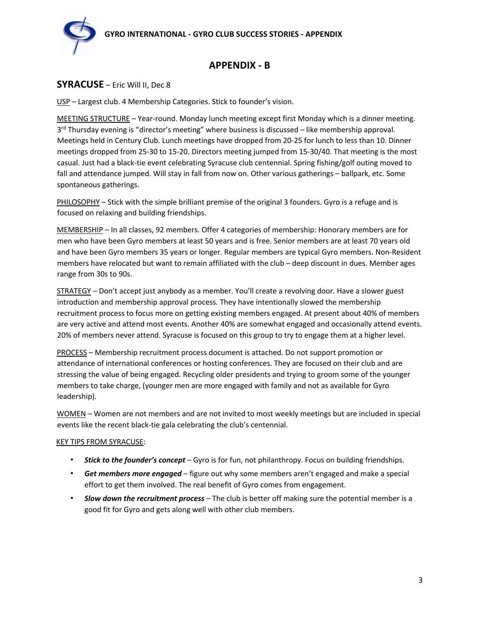

## **APPENDIX - B**

## **SYRACUSE** – Eric Will II, Dec 8

USP – Largest club. 4 Membership Categories. Stick to founder's vision.

MEETING STRUCTURE – Year-round. Monday lunch meeting except first Monday which is a dinner meeting.  $3<sup>rd</sup>$  Thursday evening is "director's meeting" where business is discussed – like membership approval. Meetings held in Century Club. Lunch meetings have dropped from 20-25 for lunch to less than 10. Dinner meetings dropped from 25-30 to 15-20. Directors meeting jumped from 15-30/40. That meeting is the most casual. Just had a black-tie event celebrating Syracuse club centennial. Spring fishing/golf outing moved to fall and attendance jumped. Will stay in fall from now on. Other various gatherings – ballpark, etc. Some spontaneous gatherings.

PHILOSOPHY – Stick with the simple brilliant premise of the original 3 founders. Gyro is a refuge and is focused on relaxing and building friendships.

MEMBERSHIP – In all classes, 92 members. Offer 4 categories of membership: Honorary members are for men who have been Gyro members at least 50 years and is free. Senior members are at least 70 years old and have been Gyro members 35 years or longer. Regular members are typical Gyro members. Non-Resident members have relocated but want to remain affiliated with the club – deep discount in dues. Member ages range from 30s to 90s.

STRATEGY – Don't accept just anybody as a member. You'll create a revolving door. Have a slower guest introduction and membership approval process. They have intentionally slowed the membership recruitment process to focus more on getting existing members engaged. At present about 40% of members are very active and attend most events. Another 40% are somewhat engaged and occasionally attend events. 20% of members never attend. Syracuse is focused on this group to try to engage them at a higher level.

PROCESS – Membership recruitment process document is attached. Do not support promotion or attendance of international conferences or hosting conferences. They are focused on their club and are stressing the value of being engaged. Recycling older presidents and trying to groom some of the younger members to take charge, (younger men are more engaged with family and not as available for Gyro leadership).

WOMEN – Women are not members and are not invited to most weekly meetings but are included in special events like the recent black-tie gala celebrating the club's centennial.

### KEY TIPS FROM SYRACUSE:

- *Stick to the founder's concept* Gyro is for fun, not philanthropy. Focus on building friendships.
- *Get members more engaged* figure out why some members aren't engaged and make a special effort to get them involved. The real benefit of Gyro comes from engagement.
- *Slow down the recruitment process*  The club is better off making sure the potential member is a good fit for Gyro and gets along well with other club members.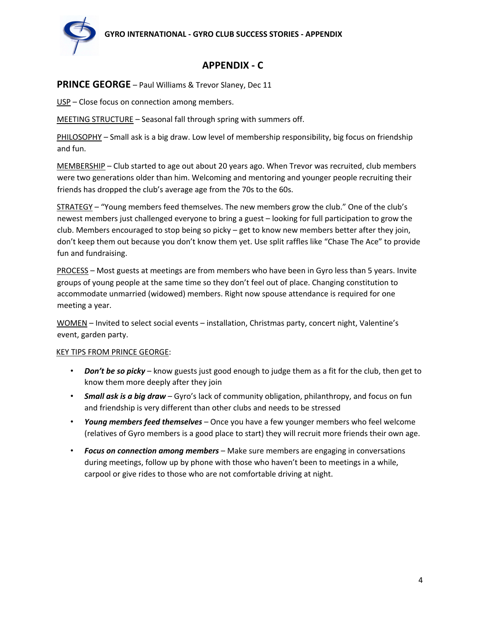

# **APPENDIX - C**

## **PRINCE GEORGE** – Paul Williams & Trevor Slaney, Dec 11

USP – Close focus on connection among members.

MEETING STRUCTURE – Seasonal fall through spring with summers off.

PHILOSOPHY – Small ask is a big draw. Low level of membership responsibility, big focus on friendship and fun.

MEMBERSHIP – Club started to age out about 20 years ago. When Trevor was recruited, club members were two generations older than him. Welcoming and mentoring and younger people recruiting their friends has dropped the club's average age from the 70s to the 60s.

STRATEGY – "Young members feed themselves. The new members grow the club." One of the club's newest members just challenged everyone to bring a guest – looking for full participation to grow the club. Members encouraged to stop being so picky – get to know new members better after they join, don't keep them out because you don't know them yet. Use split raffles like "Chase The Ace" to provide fun and fundraising.

PROCESS – Most guests at meetings are from members who have been in Gyro less than 5 years. Invite groups of young people at the same time so they don't feel out of place. Changing constitution to accommodate unmarried (widowed) members. Right now spouse attendance is required for one meeting a year.

WOMEN – Invited to select social events – installation, Christmas party, concert night, Valentine's event, garden party.

### KEY TIPS FROM PRINCE GEORGE:

- *Don't be so picky* know guests just good enough to judge them as a fit for the club, then get to know them more deeply after they join
- *Small ask is a big draw* Gyro's lack of community obligation, philanthropy, and focus on fun and friendship is very different than other clubs and needs to be stressed
- *Young members feed themselves*  Once you have a few younger members who feel welcome (relatives of Gyro members is a good place to start) they will recruit more friends their own age.
- *Focus on connection among members*  Make sure members are engaging in conversations during meetings, follow up by phone with those who haven't been to meetings in a while, carpool or give rides to those who are not comfortable driving at night.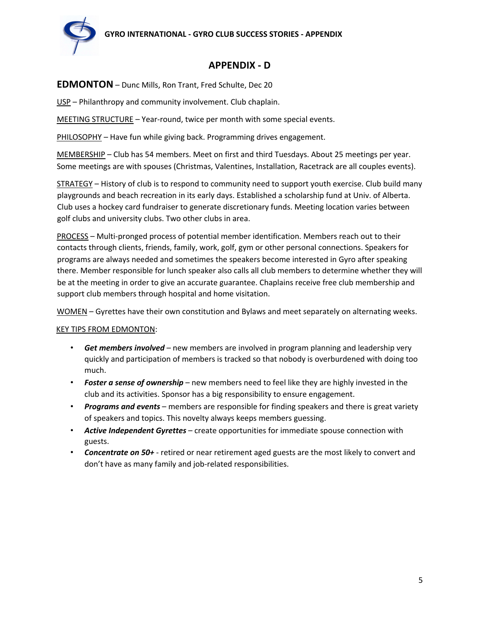

## **APPENDIX - D**

## **EDMONTON** – Dunc Mills, Ron Trant, Fred Schulte, Dec 20

USP – Philanthropy and community involvement. Club chaplain.

MEETING STRUCTURE – Year-round, twice per month with some special events.

PHILOSOPHY – Have fun while giving back. Programming drives engagement.

MEMBERSHIP – Club has 54 members. Meet on first and third Tuesdays. About 25 meetings per year. Some meetings are with spouses (Christmas, Valentines, Installation, Racetrack are all couples events).

STRATEGY – History of club is to respond to community need to support youth exercise. Club build many playgrounds and beach recreation in its early days. Established a scholarship fund at Univ. of Alberta. Club uses a hockey card fundraiser to generate discretionary funds. Meeting location varies between golf clubs and university clubs. Two other clubs in area.

PROCESS – Multi-pronged process of potential member identification. Members reach out to their contacts through clients, friends, family, work, golf, gym or other personal connections. Speakers for programs are always needed and sometimes the speakers become interested in Gyro after speaking there. Member responsible for lunch speaker also calls all club members to determine whether they will be at the meeting in order to give an accurate guarantee. Chaplains receive free club membership and support club members through hospital and home visitation.

WOMEN – Gyrettes have their own constitution and Bylaws and meet separately on alternating weeks.

### KEY TIPS FROM EDMONTON:

- *Get members involved* new members are involved in program planning and leadership very quickly and participation of members is tracked so that nobody is overburdened with doing too much.
- *Foster a sense of ownership*  new members need to feel like they are highly invested in the club and its activities. Sponsor has a big responsibility to ensure engagement.
- *Programs and events*  members are responsible for finding speakers and there is great variety of speakers and topics. This novelty always keeps members guessing.
- *Active Independent Gyrettes*  create opportunities for immediate spouse connection with guests.
- *Concentrate on 50+*  retired or near retirement aged guests are the most likely to convert and don't have as many family and job-related responsibilities.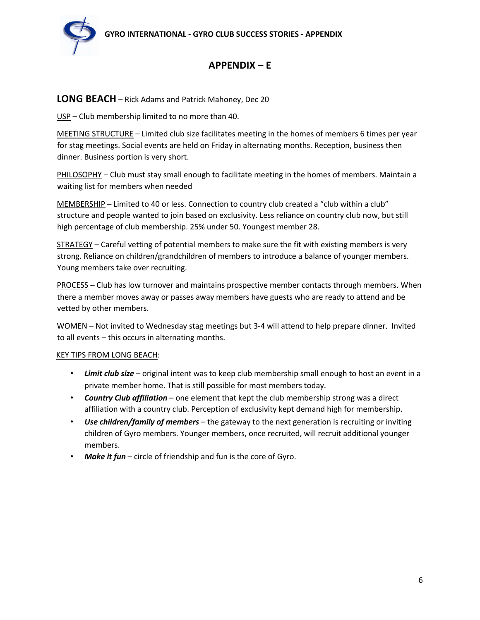

# **APPENDIX – E**

## **LONG BEACH** – Rick Adams and Patrick Mahoney, Dec 20

USP – Club membership limited to no more than 40.

MEETING STRUCTURE – Limited club size facilitates meeting in the homes of members 6 times per year for stag meetings. Social events are held on Friday in alternating months. Reception, business then dinner. Business portion is very short.

PHILOSOPHY – Club must stay small enough to facilitate meeting in the homes of members. Maintain a waiting list for members when needed

MEMBERSHIP – Limited to 40 or less. Connection to country club created a "club within a club" structure and people wanted to join based on exclusivity. Less reliance on country club now, but still high percentage of club membership. 25% under 50. Youngest member 28.

STRATEGY – Careful vetting of potential members to make sure the fit with existing members is very strong. Reliance on children/grandchildren of members to introduce a balance of younger members. Young members take over recruiting.

PROCESS – Club has low turnover and maintains prospective member contacts through members. When there a member moves away or passes away members have guests who are ready to attend and be vetted by other members.

WOMEN – Not invited to Wednesday stag meetings but 3-4 will attend to help prepare dinner. Invited to all events – this occurs in alternating months.

### KEY TIPS FROM LONG BEACH:

- *Limit club size* original intent was to keep club membership small enough to host an event in a private member home. That is still possible for most members today.
- *Country Club affiliation* one element that kept the club membership strong was a direct affiliation with a country club. Perception of exclusivity kept demand high for membership.
- *Use children/family of members*  the gateway to the next generation is recruiting or inviting children of Gyro members. Younger members, once recruited, will recruit additional younger members.
- Make it fun circle of friendship and fun is the core of Gyro.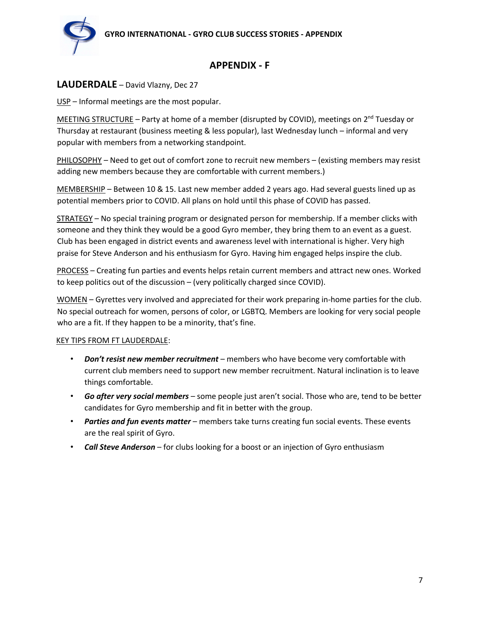

# **APPENDIX - F**

## **LAUDERDALE** – David Vlazny, Dec 27

USP – Informal meetings are the most popular.

MEETING STRUCTURE - Party at home of a member (disrupted by COVID), meetings on 2<sup>nd</sup> Tuesday or Thursday at restaurant (business meeting & less popular), last Wednesday lunch – informal and very popular with members from a networking standpoint.

PHILOSOPHY – Need to get out of comfort zone to recruit new members – (existing members may resist adding new members because they are comfortable with current members.)

MEMBERSHIP – Between 10 & 15. Last new member added 2 years ago. Had several guests lined up as potential members prior to COVID. All plans on hold until this phase of COVID has passed.

STRATEGY – No special training program or designated person for membership. If a member clicks with someone and they think they would be a good Gyro member, they bring them to an event as a guest. Club has been engaged in district events and awareness level with international is higher. Very high praise for Steve Anderson and his enthusiasm for Gyro. Having him engaged helps inspire the club.

PROCESS – Creating fun parties and events helps retain current members and attract new ones. Worked to keep politics out of the discussion – (very politically charged since COVID).

WOMEN – Gyrettes very involved and appreciated for their work preparing in-home parties for the club. No special outreach for women, persons of color, or LGBTQ. Members are looking for very social people who are a fit. If they happen to be a minority, that's fine.

### KEY TIPS FROM FT LAUDERDALE:

- *Don't resist new member recruitment* members who have become very comfortable with current club members need to support new member recruitment. Natural inclination is to leave things comfortable.
- *Go after very social members* some people just aren't social. Those who are, tend to be better candidates for Gyro membership and fit in better with the group.
- *Parties and fun events matter*  members take turns creating fun social events. These events are the real spirit of Gyro.
- *Call Steve Anderson*  for clubs looking for a boost or an injection of Gyro enthusiasm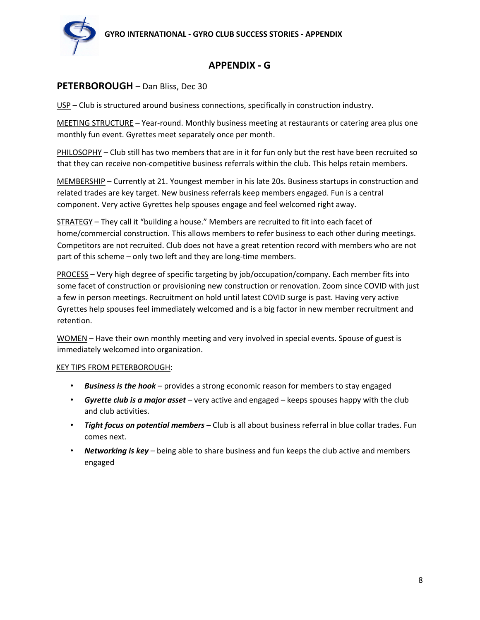

## **APPENDIX - G**

## **PETERBOROUGH** – Dan Bliss, Dec 30

USP – Club is structured around business connections, specifically in construction industry.

MEETING STRUCTURE – Year-round. Monthly business meeting at restaurants or catering area plus one monthly fun event. Gyrettes meet separately once per month.

PHILOSOPHY – Club still has two members that are in it for fun only but the rest have been recruited so that they can receive non-competitive business referrals within the club. This helps retain members.

MEMBERSHIP – Currently at 21. Youngest member in his late 20s. Business startups in construction and related trades are key target. New business referrals keep members engaged. Fun is a central component. Very active Gyrettes help spouses engage and feel welcomed right away.

STRATEGY – They call it "building a house." Members are recruited to fit into each facet of home/commercial construction. This allows members to refer business to each other during meetings. Competitors are not recruited. Club does not have a great retention record with members who are not part of this scheme – only two left and they are long-time members.

PROCESS – Very high degree of specific targeting by job/occupation/company. Each member fits into some facet of construction or provisioning new construction or renovation. Zoom since COVID with just a few in person meetings. Recruitment on hold until latest COVID surge is past. Having very active Gyrettes help spouses feel immediately welcomed and is a big factor in new member recruitment and retention.

WOMEN – Have their own monthly meeting and very involved in special events. Spouse of guest is immediately welcomed into organization.

### KEY TIPS FROM PETERBOROUGH:

- *Business is the hook* provides a strong economic reason for members to stay engaged
- *Gyrette club is a major asset* very active and engaged keeps spouses happy with the club and club activities.
- *Tight focus on potential members*  Club is all about business referral in blue collar trades. Fun comes next.
- *Networking is key*  being able to share business and fun keeps the club active and members engaged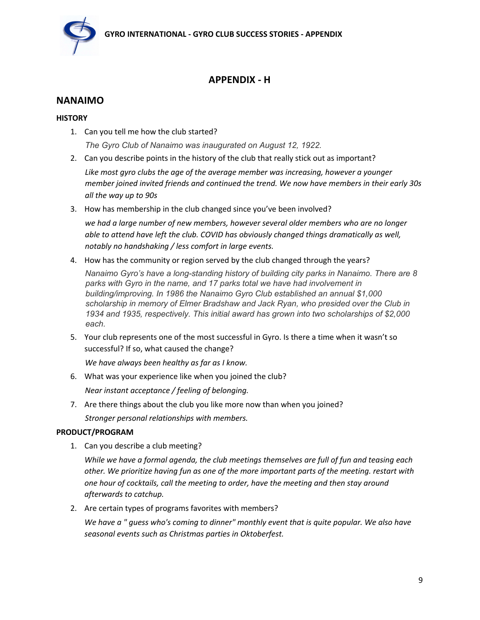

# **APPENDIX - H**

## **NANAIMO**

## **HISTORY**

- 1. Can you tell me how the club started? *The Gyro Club of Nanaimo was inaugurated on August 12, 1922.*
- 2. Can you describe points in the history of the club that really stick out as important?

*Like most gyro clubs the age of the average member was increasing, however a younger member joined invited friends and continued the trend. We now have members in their early 30s all the way up to 90s* 

3. How has membership in the club changed since you've been involved?

*we had a large number of new members, however several older members who are no longer able to attend have left the club. COVID has obviously changed things dramatically as well, notably no handshaking / less comfort in large events.* 

4. How has the community or region served by the club changed through the years?

*Nanaimo Gyro's have a long-standing history of building city parks in Nanaimo. There are 8 parks with Gyro in the name, and 17 parks total we have had involvement in building/improving. In 1986 the Nanaimo Gyro Club established an annual \$1,000 scholarship in memory of Elmer Bradshaw and Jack Ryan, who presided over the Club in 1934 and 1935, respectively. This initial award has grown into two scholarships of \$2,000 each.*

5. Your club represents one of the most successful in Gyro. Is there a time when it wasn't so successful? If so, what caused the change?

*We have always been healthy as far as I know.*

6. What was your experience like when you joined the club?

*Near instant acceptance / feeling of belonging.* 

7. Are there things about the club you like more now than when you joined? *Stronger personal relationships with members.* 

## **PRODUCT/PROGRAM**

1. Can you describe a club meeting?

*While we have a formal agenda, the club meetings themselves are full of fun and teasing each other. We prioritize having fun as one of the more important parts of the meeting. restart with one hour of cocktails, call the meeting to order, have the meeting and then stay around afterwards to catchup.*

2. Are certain types of programs favorites with members?

*We have a " guess who's coming to dinner" monthly event that is quite popular. We also have seasonal events such as Christmas parties in Oktoberfest.*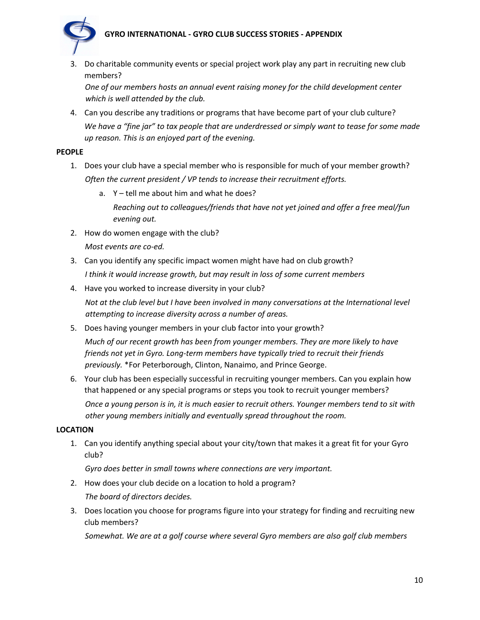## **GYRO INTERNATIONAL - GYRO CLUB SUCCESS STORIES - APPENDIX**



3. Do charitable community events or special project work play any part in recruiting new club members?

*One of our members hosts an annual event raising money for the child development center which is well attended by the club.* 

4. Can you describe any traditions or programs that have become part of your club culture? *We have a "fine jar" to tax people that are underdressed or simply want to tease for some made up reason. This is an enjoyed part of the evening.*

### **PEOPLE**

- 1. Does your club have a special member who is responsible for much of your member growth? *Often the current president / VP tends to increase their recruitment efforts.* 
	- a. Y tell me about him and what he does? *Reaching out to colleagues/friends that have not yet joined and offer a free meal/fun evening out.*
- 2. How do women engage with the club? *Most events are co-ed.*
- 3. Can you identify any specific impact women might have had on club growth?
	- *I think it would increase growth, but may result in loss of some current members*
	- 4. Have you worked to increase diversity in your club?

*Not at the club level but I have been involved in many conversations at the International level attempting to increase diversity across a number of areas.* 

5. Does having younger members in your club factor into your growth?

*Much of our recent growth has been from younger members. They are more likely to have friends not yet in Gyro. Long-term members have typically tried to recruit their friends previously.* \*For Peterborough, Clinton, Nanaimo, and Prince George.

6. Your club has been especially successful in recruiting younger members. Can you explain how that happened or any special programs or steps you took to recruit younger members? *Once a young person is in, it is much easier to recruit others. Younger members tend to sit with other young members initially and eventually spread throughout the room.* 

### **LOCATION**

1. Can you identify anything special about your city/town that makes it a great fit for your Gyro club?

*Gyro does better in small towns where connections are very important.* 

2. How does your club decide on a location to hold a program?

*The board of directors decides.*

3. Does location you choose for programs figure into your strategy for finding and recruiting new club members?

*Somewhat. We are at a golf course where several Gyro members are also golf club members*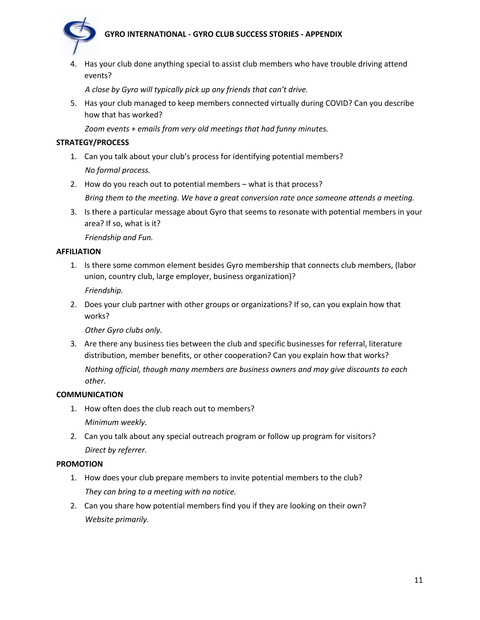## **GYRO INTERNATIONAL - GYRO CLUB SUCCESS STORIES - APPENDIX**



4. Has your club done anything special to assist club members who have trouble driving attend events?

*A close by Gyro will typically pick up any friends that can't drive.* 

5. Has your club managed to keep members connected virtually during COVID? Can you describe how that has worked?

*Zoom events + emails from very old meetings that had funny minutes.* 

### **STRATEGY/PROCESS**

- 1. Can you talk about your club's process for identifying potential members? *No formal process.*
- 2. How do you reach out to potential members what is that process?

*Bring them to the meeting. We have a great conversion rate once someone attends a meeting.* 

3. Is there a particular message about Gyro that seems to resonate with potential members in your area? If so, what is it?

*Friendship and Fun.* 

### **AFFILIATION**

1. Is there some common element besides Gyro membership that connects club members, (labor union, country club, large employer, business organization)?

*Friendship.*

2. Does your club partner with other groups or organizations? If so, can you explain how that works?

*Other Gyro clubs only.* 

3. Are there any business ties between the club and specific businesses for referral, literature distribution, member benefits, or other cooperation? Can you explain how that works? *Nothing official, though many members are business owners and may give discounts to each other.* 

### **COMMUNICATION**

- 1. How often does the club reach out to members? *Minimum weekly.*
- 2. Can you talk about any special outreach program or follow up program for visitors? *Direct by referrer.*

### **PROMOTION**

- 1. How does your club prepare members to invite potential members to the club? *They can bring to a meeting with no notice.*
- 2. Can you share how potential members find you if they are looking on their own? *Website primarily.*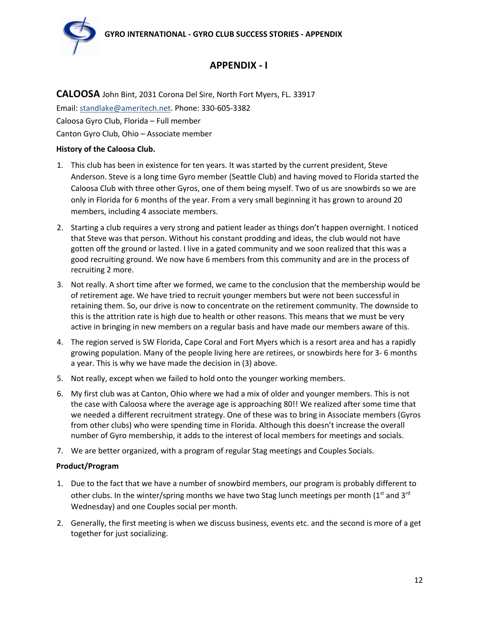

# **APPENDIX - I**

**CALOOSA** John Bint, 2031 Corona Del Sire, North Fort Myers, FL. 33917 Email: standlake@ameritech.net. Phone: 330-605-3382 Caloosa Gyro Club, Florida – Full member Canton Gyro Club, Ohio – Associate member

### **History of the Caloosa Club.**

- 1. This club has been in existence for ten years. It was started by the current president, Steve Anderson. Steve is a long time Gyro member (Seattle Club) and having moved to Florida started the Caloosa Club with three other Gyros, one of them being myself. Two of us are snowbirds so we are only in Florida for 6 months of the year. From a very small beginning it has grown to around 20 members, including 4 associate members.
- 2. Starting a club requires a very strong and patient leader as things don't happen overnight. I noticed that Steve was that person. Without his constant prodding and ideas, the club would not have gotten off the ground or lasted. I live in a gated community and we soon realized that this was a good recruiting ground. We now have 6 members from this community and are in the process of recruiting 2 more.
- 3. Not really. A short time after we formed, we came to the conclusion that the membership would be of retirement age. We have tried to recruit younger members but were not been successful in retaining them. So, our drive is now to concentrate on the retirement community. The downside to this is the attrition rate is high due to health or other reasons. This means that we must be very active in bringing in new members on a regular basis and have made our members aware of this.
- 4. The region served is SW Florida, Cape Coral and Fort Myers which is a resort area and has a rapidly growing population. Many of the people living here are retirees, or snowbirds here for 3- 6 months a year. This is why we have made the decision in (3) above.
- 5. Not really, except when we failed to hold onto the younger working members.
- 6. My first club was at Canton, Ohio where we had a mix of older and younger members. This is not the case with Caloosa where the average age is approaching 80!! We realized after some time that we needed a different recruitment strategy. One of these was to bring in Associate members (Gyros from other clubs) who were spending time in Florida. Although this doesn't increase the overall number of Gyro membership, it adds to the interest of local members for meetings and socials.
- 7. We are better organized, with a program of regular Stag meetings and Couples Socials.

### **Product/Program**

- 1. Due to the fact that we have a number of snowbird members, our program is probably different to other clubs. In the winter/spring months we have two Stag lunch meetings per month  $(1<sup>st</sup>$  and  $3<sup>rd</sup>$ Wednesday) and one Couples social per month.
- 2. Generally, the first meeting is when we discuss business, events etc. and the second is more of a get together for just socializing.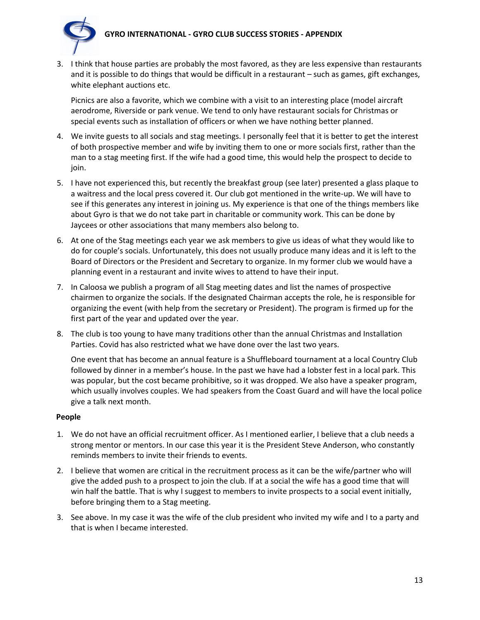## **GYRO INTERNATIONAL - GYRO CLUB SUCCESS STORIES - APPENDIX**



3. I think that house parties are probably the most favored, as they are less expensive than restaurants and it is possible to do things that would be difficult in a restaurant – such as games, gift exchanges, white elephant auctions etc.

Picnics are also a favorite, which we combine with a visit to an interesting place (model aircraft aerodrome, Riverside or park venue. We tend to only have restaurant socials for Christmas or special events such as installation of officers or when we have nothing better planned.

- 4. We invite guests to all socials and stag meetings. I personally feel that it is better to get the interest of both prospective member and wife by inviting them to one or more socials first, rather than the man to a stag meeting first. If the wife had a good time, this would help the prospect to decide to join.
- 5. I have not experienced this, but recently the breakfast group (see later) presented a glass plaque to a waitress and the local press covered it. Our club got mentioned in the write-up. We will have to see if this generates any interest in joining us. My experience is that one of the things members like about Gyro is that we do not take part in charitable or community work. This can be done by Jaycees or other associations that many members also belong to.
- 6. At one of the Stag meetings each year we ask members to give us ideas of what they would like to do for couple's socials. Unfortunately, this does not usually produce many ideas and it is left to the Board of Directors or the President and Secretary to organize. In my former club we would have a planning event in a restaurant and invite wives to attend to have their input.
- 7. In Caloosa we publish a program of all Stag meeting dates and list the names of prospective chairmen to organize the socials. If the designated Chairman accepts the role, he is responsible for organizing the event (with help from the secretary or President). The program is firmed up for the first part of the year and updated over the year.
- 8. The club is too young to have many traditions other than the annual Christmas and Installation Parties. Covid has also restricted what we have done over the last two years.

One event that has become an annual feature is a Shuffleboard tournament at a local Country Club followed by dinner in a member's house. In the past we have had a lobster fest in a local park. This was popular, but the cost became prohibitive, so it was dropped. We also have a speaker program, which usually involves couples. We had speakers from the Coast Guard and will have the local police give a talk next month.

### **People**

- 1. We do not have an official recruitment officer. As I mentioned earlier, I believe that a club needs a strong mentor or mentors. In our case this year it is the President Steve Anderson, who constantly reminds members to invite their friends to events.
- 2. I believe that women are critical in the recruitment process as it can be the wife/partner who will give the added push to a prospect to join the club. If at a social the wife has a good time that will win half the battle. That is why I suggest to members to invite prospects to a social event initially, before bringing them to a Stag meeting.
- 3. See above. In my case it was the wife of the club president who invited my wife and I to a party and that is when I became interested.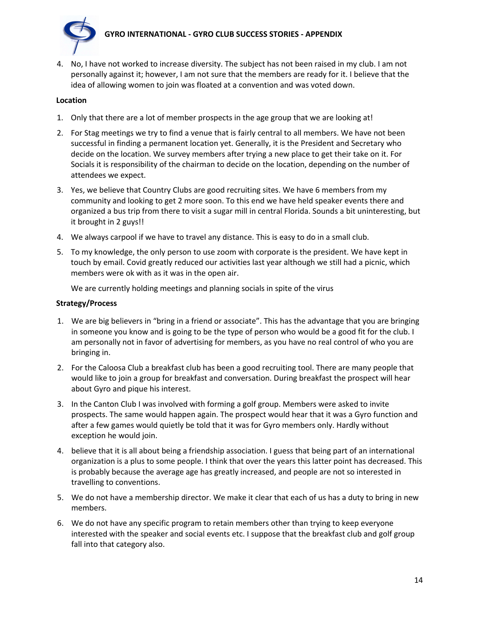

4. No, I have not worked to increase diversity. The subject has not been raised in my club. I am not personally against it; however, I am not sure that the members are ready for it. I believe that the idea of allowing women to join was floated at a convention and was voted down.

#### **Location**

- 1. Only that there are a lot of member prospects in the age group that we are looking at!
- 2. For Stag meetings we try to find a venue that is fairly central to all members. We have not been successful in finding a permanent location yet. Generally, it is the President and Secretary who decide on the location. We survey members after trying a new place to get their take on it. For Socials it is responsibility of the chairman to decide on the location, depending on the number of attendees we expect.
- 3. Yes, we believe that Country Clubs are good recruiting sites. We have 6 members from my community and looking to get 2 more soon. To this end we have held speaker events there and organized a bus trip from there to visit a sugar mill in central Florida. Sounds a bit uninteresting, but it brought in 2 guys!!
- 4. We always carpool if we have to travel any distance. This is easy to do in a small club.
- 5. To my knowledge, the only person to use zoom with corporate is the president. We have kept in touch by email. Covid greatly reduced our activities last year although we still had a picnic, which members were ok with as it was in the open air.

We are currently holding meetings and planning socials in spite of the virus

#### **Strategy/Process**

- 1. We are big believers in "bring in a friend or associate". This has the advantage that you are bringing in someone you know and is going to be the type of person who would be a good fit for the club. I am personally not in favor of advertising for members, as you have no real control of who you are bringing in.
- 2. For the Caloosa Club a breakfast club has been a good recruiting tool. There are many people that would like to join a group for breakfast and conversation. During breakfast the prospect will hear about Gyro and pique his interest.
- 3. In the Canton Club I was involved with forming a golf group. Members were asked to invite prospects. The same would happen again. The prospect would hear that it was a Gyro function and after a few games would quietly be told that it was for Gyro members only. Hardly without exception he would join.
- 4. believe that it is all about being a friendship association. I guess that being part of an international organization is a plus to some people. I think that over the years this latter point has decreased. This is probably because the average age has greatly increased, and people are not so interested in travelling to conventions.
- 5. We do not have a membership director. We make it clear that each of us has a duty to bring in new members.
- 6. We do not have any specific program to retain members other than trying to keep everyone interested with the speaker and social events etc. I suppose that the breakfast club and golf group fall into that category also.